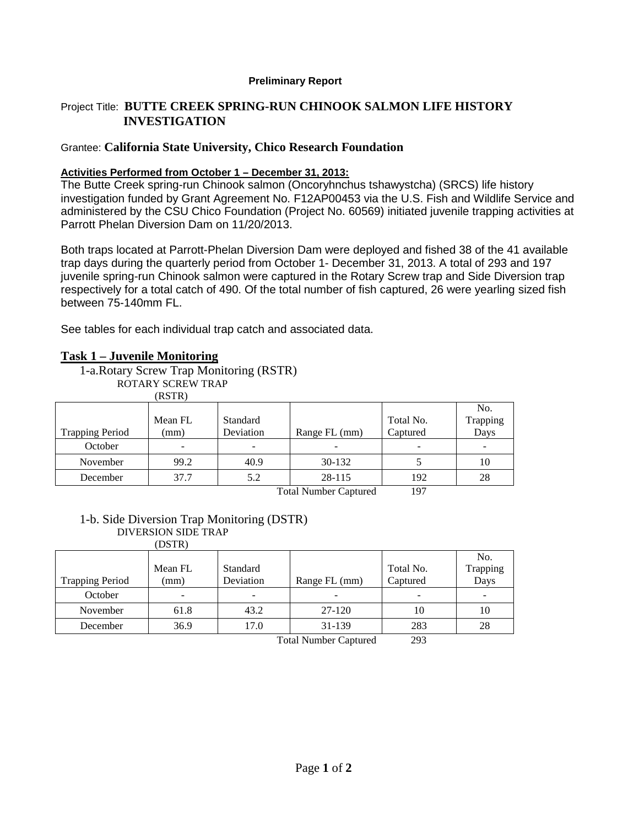#### **Preliminary Report**

## Project Title: **BUTTE CREEK SPRING-RUN CHINOOK SALMON LIFE HISTORY INVESTIGATION**

#### Grantee: **California State University, Chico Research Foundation**

#### **Activities Performed from October 1 – December 31, 2013:**

The Butte Creek spring-run Chinook salmon (Oncoryhnchus tshawystcha) (SRCS) life history investigation funded by Grant Agreement No. F12AP00453 via the U.S. Fish and Wildlife Service and administered by the CSU Chico Foundation (Project No. 60569) initiated juvenile trapping activities at Parrott Phelan Diversion Dam on 11/20/2013.

Both traps located at Parrott-Phelan Diversion Dam were deployed and fished 38 of the 41 available trap days during the quarterly period from October 1- December 31, 2013. A total of 293 and 197 juvenile spring-run Chinook salmon were captured in the Rotary Screw trap and Side Diversion trap respectively for a total catch of 490. Of the total number of fish captured, 26 were yearling sized fish between 75-140mm FL.

See tables for each individual trap catch and associated data.

### **Task 1 – Juvenile Monitoring**

1-a.Rotary Screw Trap Monitoring (RSTR)

ROTARY SCREW TRAP

(RSTR)

|                        |                                                      |           |               |           | No.      |  |
|------------------------|------------------------------------------------------|-----------|---------------|-----------|----------|--|
|                        | Mean FL                                              | Standard  |               | Total No. | Trapping |  |
| <b>Trapping Period</b> | (mm)                                                 | Deviation | Range FL (mm) | Captured  | Days     |  |
| October                |                                                      | -         |               |           |          |  |
| November               | 99.2                                                 | 40.9      | 30-132        |           | 10       |  |
| December               | 37.7                                                 | 5.2       | 28-115        | 192       | 28       |  |
|                        | $\sim$ $\sim$ $\sim$<br>$-1$<br>$\sim$ $\sim$ $\sim$ |           |               |           |          |  |

Total Number Captured 197

# 1-b. Side Diversion Trap Monitoring (DSTR) DIVERSION SIDE TRAP

(DSTR)

| <b>Trapping Period</b> | Mean FL<br>(mm)          | Standard<br>Deviation | Range FL (mm)                                                                                                                                                                                                                                                                                                   | Total No.<br>Captured  | No.<br>Trapping<br>Days |
|------------------------|--------------------------|-----------------------|-----------------------------------------------------------------------------------------------------------------------------------------------------------------------------------------------------------------------------------------------------------------------------------------------------------------|------------------------|-------------------------|
| October                | $\overline{\phantom{0}}$ |                       | -                                                                                                                                                                                                                                                                                                               |                        |                         |
| November               | 61.8                     | 43.2                  | 27-120                                                                                                                                                                                                                                                                                                          | 10                     | 10                      |
| December               | 36.9                     | 17.0                  | 31-139                                                                                                                                                                                                                                                                                                          | 283                    | 28                      |
|                        |                          |                       | $\mathbf{m}$ , $\mathbf{m}$ , $\mathbf{m}$ , $\mathbf{m}$ , $\mathbf{m}$ , $\mathbf{m}$ , $\mathbf{m}$ , $\mathbf{m}$ , $\mathbf{m}$ , $\mathbf{m}$ , $\mathbf{m}$ , $\mathbf{m}$ , $\mathbf{m}$ , $\mathbf{m}$ , $\mathbf{m}$ , $\mathbf{m}$ , $\mathbf{m}$ , $\mathbf{m}$ , $\mathbf{m}$ , $\mathbf{m}$ , $\$ | $\mathbf{a}\mathbf{a}$ |                         |

Total Number Captured 293